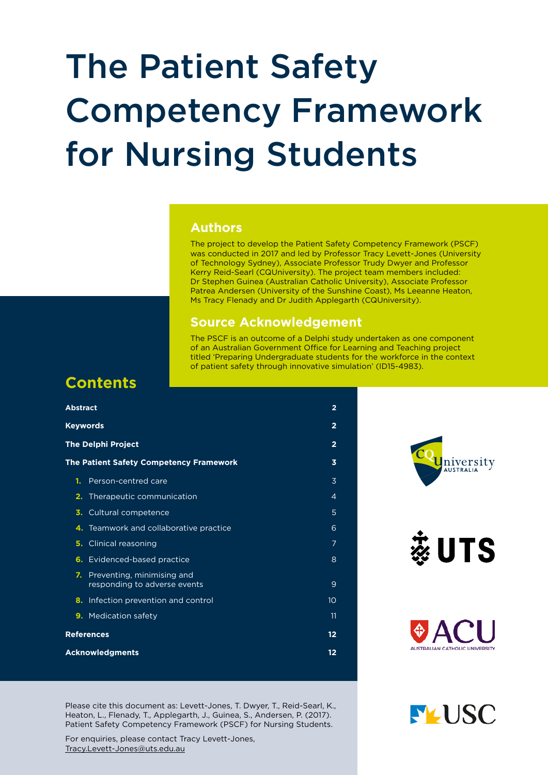## The Patient Safety Competency Framework for Nursing Students

### **Authors**

The project to develop the Patient Safety Competency Framework (PSCF) was conducted in 2017 and led by Professor Tracy Levett-Jones (University of Technology Sydney), Associate Professor Trudy Dwyer and Professor Kerry Reid-Searl (CQUniversity). The project team members included: Dr Stephen Guinea (Australian Catholic University), Associate Professor Patrea Andersen (University of the Sunshine Coast), Ms Leeanne Heaton, Ms Tracy Flenady and Dr Judith Applegarth (CQUniversity).

### **Source Acknowledgement**

The PSCF is an outcome of a Delphi study undertaken as one component of an Australian Government Office for Learning and Teaching project titled 'Preparing Undergraduate students for the workforce in the context of patient safety through innovative simulation' (ID15-4983).

## **Contents**

| <b>Abstract</b>                                                  | $\overline{2}$          |
|------------------------------------------------------------------|-------------------------|
| <b>Keywords</b>                                                  | $\overline{2}$          |
| <b>The Delphi Project</b>                                        | $\overline{2}$          |
| <b>The Patient Safety Competency Framework</b>                   | $\overline{\mathbf{3}}$ |
| Person-centred care<br>1.                                        | 3                       |
| Therapeutic communication<br>2.                                  | $\overline{4}$          |
| Cultural competence<br>3.                                        | 5                       |
| Teamwork and collaborative practice<br>4.                        | 6                       |
| Clinical reasoning<br>5.                                         | 7                       |
| <b>6.</b> Evidenced-based practice                               | 8                       |
| Preventing, minimising and<br>7.<br>responding to adverse events | 9                       |
| Infection prevention and control<br>8.                           | 10                      |
| 9. Medication safety                                             | 11                      |
| <b>References</b>                                                | 12                      |
| <b>Acknowledgments</b>                                           | 12                      |

Please cite this document as: Levett-Jones, T. Dwyer, T., Reid-Searl, K., Heaton, L., Flenady, T., Applegarth, J., Guinea, S., Andersen, P. (2017). Patient Safety Competency Framework (PSCF) for Nursing Students.

For enquiries, please contact Tracy Levett-Jones, [Tracy.Levett-Jones@uts.edu.au](mailto:Tracy.Levett-Jones%40uts.edu.au?subject=)



蕊UTS



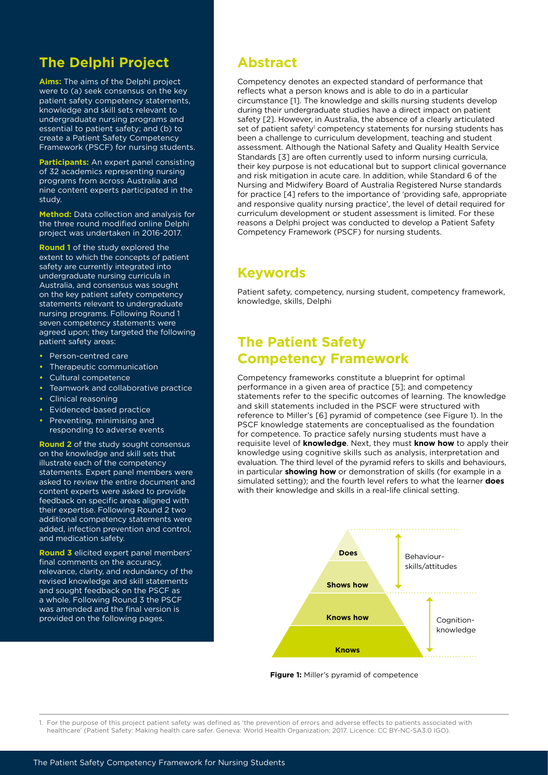## <span id="page-1-0"></span>**The Delphi Project**

**Aims:** The aims of the Delphi project were to (a) seek consensus on the key patient safety competency statements, knowledge and skill sets relevant to undergraduate nursing programs and essential to patient safety; and (b) to create a Patient Safety Competency Framework (PSCF) for nursing students.

**Participants:** An expert panel consisting of 32 academics representing nursing programs from across Australia and nine content experts participated in the study.

**Method:** Data collection and analysis for the three round modified online Delphi project was undertaken in 2016-2017.

**Round 1** of the study explored the extent to which the concepts of patient safety are currently integrated into undergraduate nursing curricula in Australia, and consensus was sought on the key patient safety competency statements relevant to undergraduate nursing programs. Following Round 1 seven competency statements were agreed upon; they targeted the following patient safety areas:

- **•** Person-centred care
- **•** Therapeutic communication
- **•** Cultural competence
- **•** Teamwork and collaborative practice
- **•** Clinical reasoning
- **•** Evidenced-based practice
- **•** Preventing, minimising and responding to adverse events

**Round 2** of the study sought consensus on the knowledge and skill sets that illustrate each of the competency statements. Expert panel members were asked to review the entire document and content experts were asked to provide feedback on specific areas aligned with their expertise. Following Round 2 two additional competency statements were added, infection prevention and control, and medication safety.

**Round 3** elicited expert panel members' final comments on the accuracy, relevance, clarity, and redundancy of the revised knowledge and skill statements and sought feedback on the PSCF as a whole. Following Round 3 the PSCF was amended and the final version is provided on the following pages.

### **Abstract**

Competency denotes an expected standard of performance that reflects what a person knows and is able to do in a particular circumstance [1]. The knowledge and skills nursing students develop during their undergraduate studies have a direct impact on patient safety [2]. However, in Australia, the absence of a clearly articulated set of patient safety<sup>1</sup> competency statements for nursing students has been a challenge to curriculum development, teaching and student assessment. Although the National Safety and Quality Health Service Standards [3] are often currently used to inform nursing curricula, their key purpose is not educational but to support clinical governance and risk mitigation in acute care. In addition, while Standard 6 of the Nursing and Midwifery Board of Australia Registered Nurse standards for practice [4] refers to the importance of 'providing safe, appropriate and responsive quality nursing practice', the level of detail required for curriculum development or student assessment is limited. For these reasons a Delphi project was conducted to develop a Patient Safety Competency Framework (PSCF) for nursing students.

### **Keywords**

Patient safety, competency, nursing student, competency framework, knowledge, skills, Delphi

### **The Patient Safety Competency Framework**

Competency frameworks constitute a blueprint for optimal performance in a given area of practice [5]; and competency statements refer to the specific outcomes of learning. The knowledge and skill statements included in the PSCF were structured with reference to Miller's [6] pyramid of competence (see Figure 1). In the PSCF knowledge statements are conceptualised as the foundation for competence. To practice safely nursing students must have a requisite level of **knowledge**. Next, they must **know how** to apply their knowledge using cognitive skills such as analysis, interpretation and evaluation. The third level of the pyramid refers to skills and behaviours, in particular **showing how** or demonstration of skills (for example in a simulated setting); and the fourth level refers to what the learner **does** with their knowledge and skills in a real-life clinical setting.



**Figure 1:** Miller's pyramid of competence

1. For the purpose of this project patient safety was defined as 'the prevention of errors and adverse effects to patients associated with healthcare' (Patient Safety: Making health care safer. Geneva: World Health Organization; 2017. Licence: CC BY-NC-SA3.0 IGO).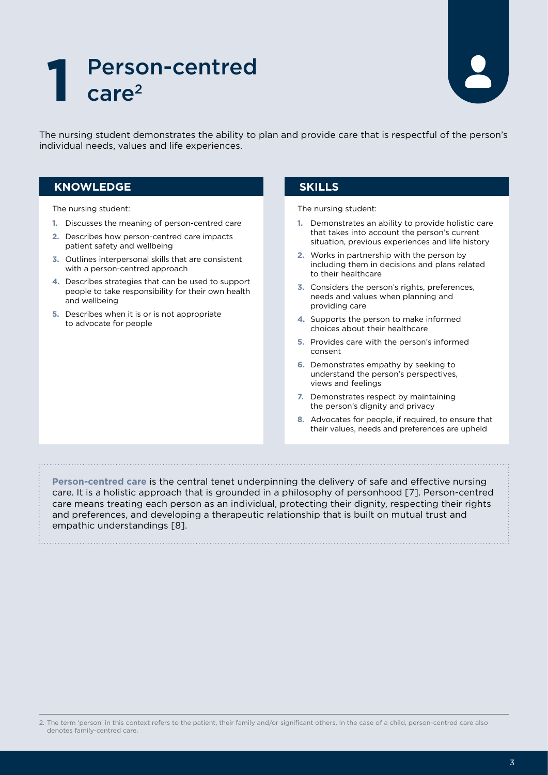# <span id="page-2-0"></span>1 Person-centred<br> **1** care<sup>2</sup>



The nursing student demonstrates the ability to plan and provide care that is respectful of the person's individual needs, values and life experiences.

### **KNOWLEDGE SKILLS**

The nursing student:

- **1.** Discusses the meaning of person-centred care
- **2.** Describes how person-centred care impacts patient safety and wellbeing
- **3.** Outlines interpersonal skills that are consistent with a person-centred approach
- **4.** Describes strategies that can be used to support people to take responsibility for their own health and wellbeing
- **5.** Describes when it is or is not appropriate to advocate for people

The nursing student:

- **1.** Demonstrates an ability to provide holistic care that takes into account the person's current situation, previous experiences and life history
- **2.** Works in partnership with the person by including them in decisions and plans related to their healthcare
- **3.** Considers the person's rights, preferences, needs and values when planning and providing care
- **4.** Supports the person to make informed choices about their healthcare
- **5.** Provides care with the person's informed consent
- **6.** Demonstrates empathy by seeking to understand the person's perspectives, views and feelings
- **7.** Demonstrates respect by maintaining the person's dignity and privacy
- **8.** Advocates for people, if required, to ensure that their values, needs and preferences are upheld

**Person-centred care** is the central tenet underpinning the delivery of safe and effective nursing care. It is a holistic approach that is grounded in a philosophy of personhood [7]. Person-centred care means treating each person as an individual, protecting their dignity, respecting their rights and preferences, and developing a therapeutic relationship that is built on mutual trust and empathic understandings [8].

<sup>2.</sup> The term 'person' in this context refers to the patient, their family and/or significant others. In the case of a child, person-centred care also denotes family-centred care.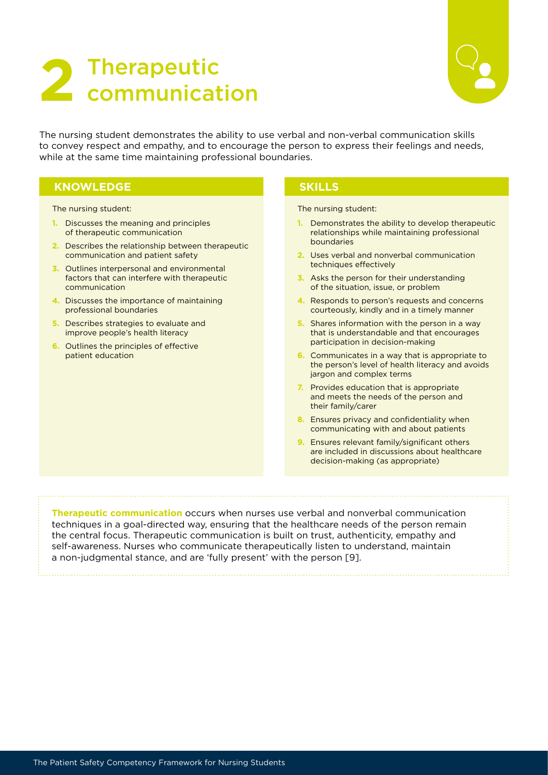## <span id="page-3-0"></span>2 Therapeutic<br>2 communication



The nursing student demonstrates the ability to use verbal and non-verbal communication skills to convey respect and empathy, and to encourage the person to express their feelings and needs, while at the same time maintaining professional boundaries.

### **KNOWLEDGE SKILLS**

The nursing student:

- **1.** Discusses the meaning and principles of therapeutic communication
- **2.** Describes the relationship between therapeutic communication and patient safety
- **3.** Outlines interpersonal and environmental factors that can interfere with therapeutic communication
- **4.** Discusses the importance of maintaining professional boundaries
- **5.** Describes strategies to evaluate and improve people's health literacy
- **6.** Outlines the principles of effective patient education

The nursing student:

- **1.** Demonstrates the ability to develop therapeutic relationships while maintaining professional boundaries
- **2.** Uses verbal and nonverbal communication techniques effectively
- **3.** Asks the person for their understanding of the situation, issue, or problem
- **4.** Responds to person's requests and concerns courteously, kindly and in a timely manner
- **5.** Shares information with the person in a way that is understandable and that encourages participation in decision-making
- **6.** Communicates in a way that is appropriate to the person's level of health literacy and avoids jargon and complex terms
- **7.** Provides education that is appropriate and meets the needs of the person and their family/carer
- **8.** Ensures privacy and confidentiality when communicating with and about patients
- **9.** Ensures relevant family/significant others are included in discussions about healthcare decision-making (as appropriate)

**Therapeutic communication** occurs when nurses use verbal and nonverbal communication techniques in a goal-directed way, ensuring that the healthcare needs of the person remain the central focus. Therapeutic communication is built on trust, authenticity, empathy and self-awareness. Nurses who communicate therapeutically listen to understand, maintain a non-judgmental stance, and are 'fully present' with the person [9].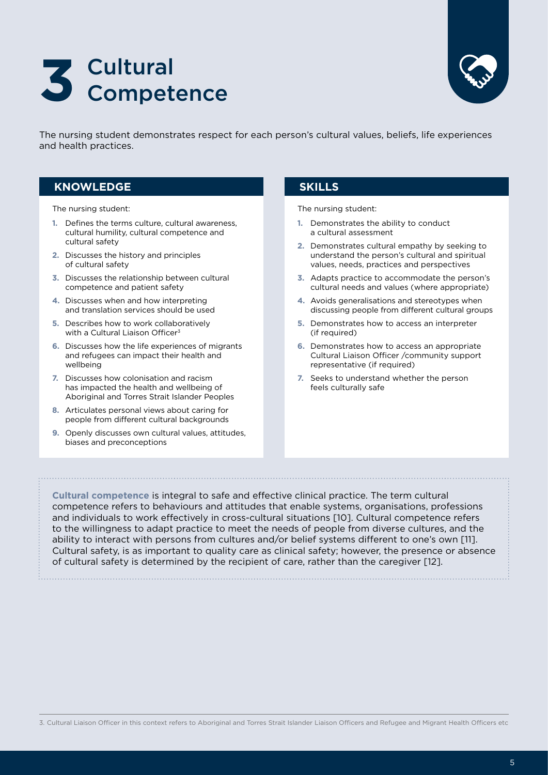<span id="page-4-0"></span>



The nursing student demonstrates respect for each person's cultural values, beliefs, life experiences and health practices.

### **KNOWLEDGE SKILLS**

The nursing student:

- **1.** Defines the terms culture, cultural awareness, cultural humility, cultural competence and cultural safety
- **2.** Discusses the history and principles of cultural safety
- **3.** Discusses the relationship between cultural competence and patient safety
- **4.** Discusses when and how interpreting and translation services should be used
- **5.** Describes how to work collaboratively with a Cultural Liaison Officer<sup>3</sup>
- **6.** Discusses how the life experiences of migrants and refugees can impact their health and wellbeing
- **7.** Discusses how colonisation and racism has impacted the health and wellbeing of Aboriginal and Torres Strait Islander Peoples
- **8.** Articulates personal views about caring for people from different cultural backgrounds
- **9.** Openly discusses own cultural values, attitudes, biases and preconceptions

The nursing student:

- **1.** Demonstrates the ability to conduct a cultural assessment
- **2.** Demonstrates cultural empathy by seeking to understand the person's cultural and spiritual values, needs, practices and perspectives
- **3.** Adapts practice to accommodate the person's cultural needs and values (where appropriate)
- **4.** Avoids generalisations and stereotypes when discussing people from different cultural groups
- **5.** Demonstrates how to access an interpreter (if required)
- **6.** Demonstrates how to access an appropriate Cultural Liaison Officer /community support representative (if required)
- **7.** Seeks to understand whether the person feels culturally safe

**Cultural competence** is integral to safe and effective clinical practice. The term cultural competence refers to behaviours and attitudes that enable systems, organisations, professions and individuals to work effectively in cross-cultural situations [10]. Cultural competence refers to the willingness to adapt practice to meet the needs of people from diverse cultures, and the ability to interact with persons from cultures and/or belief systems different to one's own [11]. Cultural safety, is as important to quality care as clinical safety; however, the presence or absence of cultural safety is determined by the recipient of care, rather than the caregiver [12].

3. Cultural Liaison Officer in this context refers to Aboriginal and Torres Strait Islander Liaison Officers and Refugee and Migrant Health Officers etc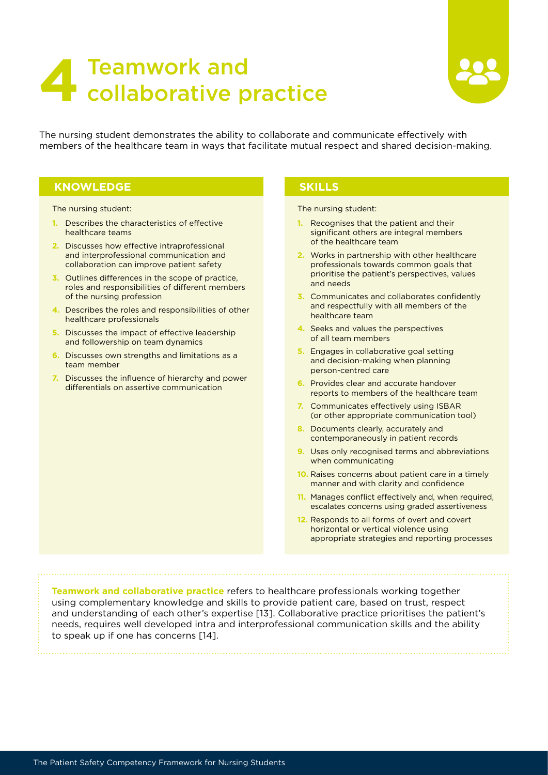## <span id="page-5-0"></span>**Teamwork and<br>
<b>42** collaborative practice



The nursing student demonstrates the ability to collaborate and communicate effectively with members of the healthcare team in ways that facilitate mutual respect and shared decision-making.

### **KNOWLEDGE SKILLS**

The nursing student:

- **1.** Describes the characteristics of effective healthcare teams
- **2.** Discusses how effective intraprofessional and interprofessional communication and collaboration can improve patient safety
- **3.** Outlines differences in the scope of practice, roles and responsibilities of different members of the nursing profession
- **4.** Describes the roles and responsibilities of other healthcare professionals
- **5.** Discusses the impact of effective leadership and followership on team dynamics
- **6.** Discusses own strengths and limitations as a team member
- **7.** Discusses the influence of hierarchy and power differentials on assertive communication

The nursing student:

- **1.** Recognises that the patient and their significant others are integral members of the healthcare team
- **2.** Works in partnership with other healthcare professionals towards common goals that prioritise the patient's perspectives, values and needs
- **3.** Communicates and collaborates confidently and respectfully with all members of the healthcare team
- **4.** Seeks and values the perspectives of all team members
- **5.** Engages in collaborative goal setting and decision-making when planning person-centred care
- **6.** Provides clear and accurate handover reports to members of the healthcare team
- **7.** Communicates effectively using ISBAR (or other appropriate communication tool)
- **8.** Documents clearly, accurately and contemporaneously in patient records
- **9.** Uses only recognised terms and abbreviations when communicating
- **10.** Raises concerns about patient care in a timely manner and with clarity and confidence
- **11.** Manages conflict effectively and, when required, escalates concerns using graded assertiveness
- **12.** Responds to all forms of overt and covert horizontal or vertical violence using appropriate strategies and reporting processes

**Teamwork and collaborative practice** refers to healthcare professionals working together using complementary knowledge and skills to provide patient care, based on trust, respect and understanding of each other's expertise [13]. Collaborative practice prioritises the patient's needs, requires well developed intra and interprofessional communication skills and the ability to speak up if one has concerns [14].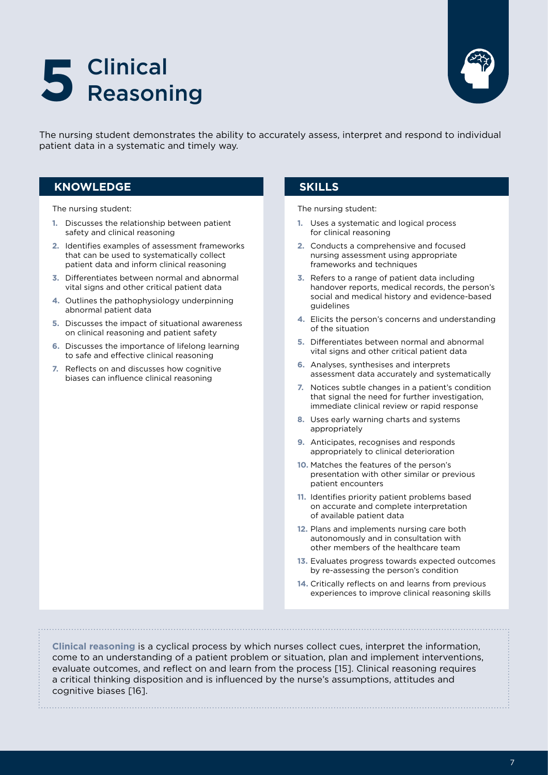## <span id="page-6-0"></span>Clinical **5** Reasoning



The nursing student demonstrates the ability to accurately assess, interpret and respond to individual patient data in a systematic and timely way.

### **KNOWLEDGE SKILLS**

The nursing student:

- **1.** Discusses the relationship between patient safety and clinical reasoning
- **2.** Identifies examples of assessment frameworks that can be used to systematically collect patient data and inform clinical reasoning
- **3.** Differentiates between normal and abnormal vital signs and other critical patient data
- **4.** Outlines the pathophysiology underpinning abnormal patient data
- **5.** Discusses the impact of situational awareness on clinical reasoning and patient safety
- **6.** Discusses the importance of lifelong learning to safe and effective clinical reasoning
- **7.** Reflects on and discusses how cognitive biases can influence clinical reasoning

The nursing student:

- **1.** Uses a systematic and logical process for clinical reasoning
- **2.** Conducts a comprehensive and focused nursing assessment using appropriate frameworks and techniques
- **3.** Refers to a range of patient data including handover reports, medical records, the person's social and medical history and evidence-based guidelines
- **4.** Elicits the person's concerns and understanding of the situation
- **5.** Differentiates between normal and abnormal vital signs and other critical patient data
- **6.** Analyses, synthesises and interprets assessment data accurately and systematically
- **7.** Notices subtle changes in a patient's condition that signal the need for further investigation, immediate clinical review or rapid response
- **8.** Uses early warning charts and systems appropriately
- **9.** Anticipates, recognises and responds appropriately to clinical deterioration
- **10.** Matches the features of the person's presentation with other similar or previous patient encounters
- **11.** Identifies priority patient problems based on accurate and complete interpretation of available patient data
- **12.** Plans and implements nursing care both autonomously and in consultation with other members of the healthcare team
- **13.** Evaluates progress towards expected outcomes by re-assessing the person's condition
- **14.** Critically reflects on and learns from previous experiences to improve clinical reasoning skills

**Clinical reasoning** is a cyclical process by which nurses collect cues, interpret the information, come to an understanding of a patient problem or situation, plan and implement interventions, evaluate outcomes, and reflect on and learn from the process [15]. Clinical reasoning requires a critical thinking disposition and is influenced by the nurse's assumptions, attitudes and cognitive biases [16].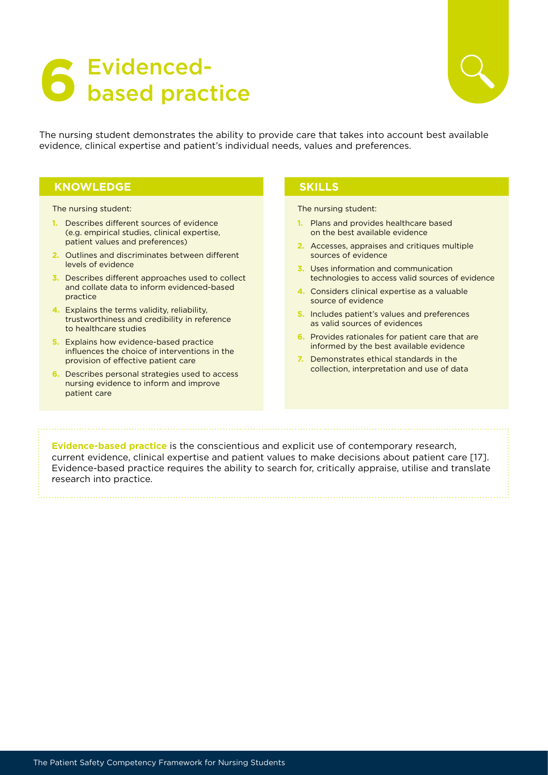## <span id="page-7-0"></span>**Evidenced-<br>Based practice**



The nursing student demonstrates the ability to provide care that takes into account best available evidence, clinical expertise and patient's individual needs, values and preferences.

### **KNOWLEDGE SKILLS**

The nursing student:

- **1.** Describes different sources of evidence (e.g. empirical studies, clinical expertise, patient values and preferences)
- **2.** Outlines and discriminates between different levels of evidence
- **3.** Describes different approaches used to collect and collate data to inform evidenced-based practice
- **4.** Explains the terms validity, reliability, trustworthiness and credibility in reference to healthcare studies
- **5.** Explains how evidence-based practice influences the choice of interventions in the provision of effective patient care
- **6.** Describes personal strategies used to access nursing evidence to inform and improve patient care

The nursing student:

- **1.** Plans and provides healthcare based on the best available evidence
- **2.** Accesses, appraises and critiques multiple sources of evidence
- **3.** Uses information and communication technologies to access valid sources of evidence
- **4.** Considers clinical expertise as a valuable source of evidence
- **5.** Includes patient's values and preferences as valid sources of evidences
- **6.** Provides rationales for patient care that are informed by the best available evidence
- **7.** Demonstrates ethical standards in the collection, interpretation and use of data

**Evidence-based practice** is the conscientious and explicit use of contemporary research, current evidence, clinical expertise and patient values to make decisions about patient care [17]. Evidence-based practice requires the ability to search for, critically appraise, utilise and translate research into practice.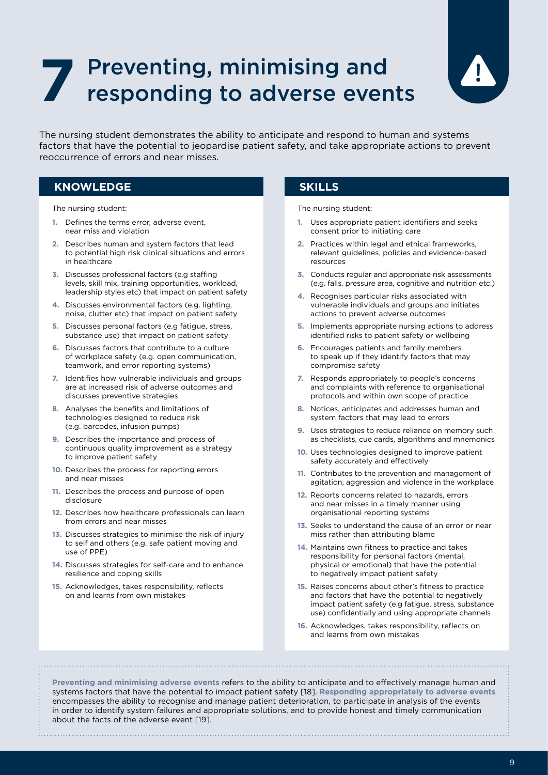## <span id="page-8-0"></span>Preventing, minimising and **7** responding to adverse events



The nursing student demonstrates the ability to anticipate and respond to human and systems factors that have the potential to jeopardise patient safety, and take appropriate actions to prevent reoccurrence of errors and near misses.

### **KNOWLEDGE SKILLS**

The nursing student:

- **1.** Defines the terms error, adverse event, near miss and violation
- **2.** Describes human and system factors that lead to potential high risk clinical situations and errors in healthcare
- **3.** Discusses professional factors (e.g staffing levels, skill mix, training opportunities, workload, leadership styles etc) that impact on patient safety
- **4.** Discusses environmental factors (e.g. lighting, noise, clutter etc) that impact on patient safety
- **5.** Discusses personal factors (e.g fatigue, stress, substance use) that impact on patient safety
- **6.** Discusses factors that contribute to a culture of workplace safety (e.g. open communication, teamwork, and error reporting systems)
- **7.** Identifies how vulnerable individuals and groups are at increased risk of adverse outcomes and discusses preventive strategies
- **8.** Analyses the benefits and limitations of technologies designed to reduce risk (e.g. barcodes, infusion pumps)
- **9.** Describes the importance and process of continuous quality improvement as a strategy to improve patient safety
- **10.** Describes the process for reporting errors and near misses
- **11.** Describes the process and purpose of open disclosure
- **12.** Describes how healthcare professionals can learn from errors and near misses
- **13.** Discusses strategies to minimise the risk of injury to self and others (e.g. safe patient moving and use of PPE)
- **14.** Discusses strategies for self-care and to enhance resilience and coping skills
- **15.** Acknowledges, takes responsibility, reflects on and learns from own mistakes

The nursing student:

- **1.** Uses appropriate patient identifiers and seeks consent prior to initiating care
- **2.** Practices within legal and ethical frameworks, relevant guidelines, policies and evidence-based resources
- **3.** Conducts regular and appropriate risk assessments (e.g. falls, pressure area, cognitive and nutrition etc.)
- **4.** Recognises particular risks associated with vulnerable individuals and groups and initiates actions to prevent adverse outcomes
- **5.** Implements appropriate nursing actions to address identified risks to patient safety or wellbeing
- **6.** Encourages patients and family members to speak up if they identify factors that may compromise safety
- **7.** Responds appropriately to people's concerns and complaints with reference to organisational protocols and within own scope of practice
- **8.** Notices, anticipates and addresses human and system factors that may lead to errors
- **9.** Uses strategies to reduce reliance on memory such as checklists, cue cards, algorithms and mnemonics
- **10.** Uses technologies designed to improve patient safety accurately and effectively
- **11.** Contributes to the prevention and management of agitation, aggression and violence in the workplace
- **12.** Reports concerns related to hazards, errors and near misses in a timely manner using organisational reporting systems
- **13.** Seeks to understand the cause of an error or near miss rather than attributing blame
- **14.** Maintains own fitness to practice and takes responsibility for personal factors (mental, physical or emotional) that have the potential to negatively impact patient safety
- **15.** Raises concerns about other's fitness to practice and factors that have the potential to negatively impact patient safety (e.g fatigue, stress, substance use) confidentially and using appropriate channels
- **16.** Acknowledges, takes responsibility, reflects on and learns from own mistakes

**Preventing and minimising adverse events** refers to the ability to anticipate and to effectively manage human and systems factors that have the potential to impact patient safety [18]. **Responding appropriately to adverse events** encompasses the ability to recognise and manage patient deterioration, to participate in analysis of the events in order to identify system failures and appropriate solutions, and to provide honest and timely communication about the facts of the adverse event [19].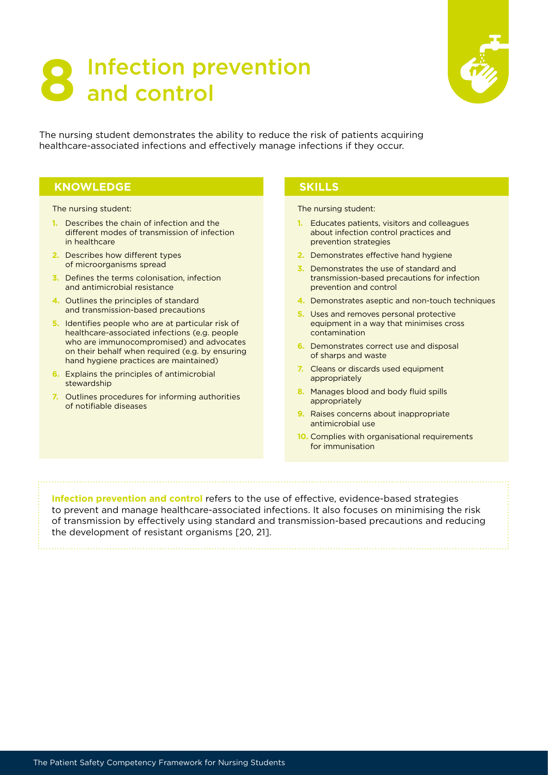## <span id="page-9-0"></span>**Infection prevention**<br>**and control**



The nursing student demonstrates the ability to reduce the risk of patients acquiring healthcare-associated infections and effectively manage infections if they occur.

### **KNOWLEDGE SKILLS**

The nursing student:

- **1.** Describes the chain of infection and the different modes of transmission of infection in healthcare
- **2.** Describes how different types of microorganisms spread
- **3.** Defines the terms colonisation, infection and antimicrobial resistance
- **4.** Outlines the principles of standard and transmission-based precautions
- **5.** Identifies people who are at particular risk of healthcare-associated infections (e.g. people who are immunocompromised) and advocates on their behalf when required (e.g. by ensuring hand hygiene practices are maintained)
- **6.** Explains the principles of antimicrobial stewardship
- **7.** Outlines procedures for informing authorities of notifiable diseases

The nursing student:

- **1.** Educates patients, visitors and colleagues about infection control practices and prevention strategies
- **2.** Demonstrates effective hand hygiene
- **3.** Demonstrates the use of standard and transmission-based precautions for infection prevention and control
- **4.** Demonstrates aseptic and non-touch techniques
- **5.** Uses and removes personal protective equipment in a way that minimises cross contamination
- **6.** Demonstrates correct use and disposal of sharps and waste
- **7.** Cleans or discards used equipment appropriately
- **8.** Manages blood and body fluid spills appropriately
- **9.** Raises concerns about inappropriate antimicrobial use
- **10.** Complies with organisational requirements for immunisation

**Infection prevention and control** refers to the use of effective, evidence-based strategies to prevent and manage healthcare-associated infections. It also focuses on minimising the risk of transmission by effectively using standard and transmission-based precautions and reducing the development of resistant organisms [20, 21].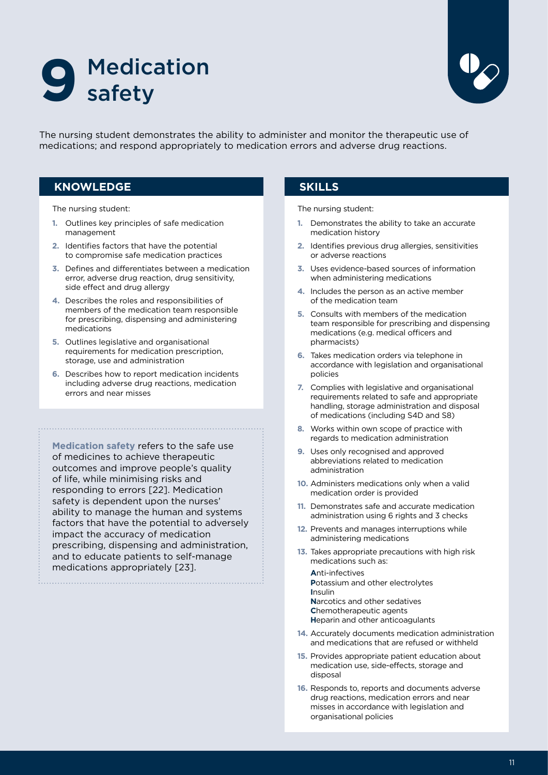<span id="page-10-0"></span>



The nursing student demonstrates the ability to administer and monitor the therapeutic use of medications; and respond appropriately to medication errors and adverse drug reactions.

### **KNOWLEDGE SKILLS**

The nursing student:

- **1.** Outlines key principles of safe medication management
- **2.** Identifies factors that have the potential to compromise safe medication practices
- **3.** Defines and differentiates between a medication error, adverse drug reaction, drug sensitivity, side effect and drug allergy
- **4.** Describes the roles and responsibilities of members of the medication team responsible for prescribing, dispensing and administering medications
- **5.** Outlines legislative and organisational requirements for medication prescription. storage, use and administration
- **6.** Describes how to report medication incidents including adverse drug reactions, medication errors and near misses

**Medication safety** refers to the safe use of medicines to achieve therapeutic outcomes and improve people's quality of life, while minimising risks and responding to errors [22]. Medication safety is dependent upon the nurses' ability to manage the human and systems factors that have the potential to adversely impact the accuracy of medication prescribing, dispensing and administration, and to educate patients to self-manage medications appropriately [23].

The nursing student:

- **1.** Demonstrates the ability to take an accurate medication history
- **2.** Identifies previous drug allergies, sensitivities or adverse reactions
- **3.** Uses evidence-based sources of information when administering medications
- **4.** Includes the person as an active member of the medication team
- **5.** Consults with members of the medication team responsible for prescribing and dispensing medications (e.g. medical officers and pharmacists)
- **6.** Takes medication orders via telephone in accordance with legislation and organisational policies
- **7.** Complies with legislative and organisational requirements related to safe and appropriate handling, storage administration and disposal of medications (including S4D and S8)
- **8.** Works within own scope of practice with regards to medication administration
- **9.** Uses only recognised and approved abbreviations related to medication administration
- **10.** Administers medications only when a valid medication order is provided
- **11.** Demonstrates safe and accurate medication administration using 6 rights and 3 checks
- **12.** Prevents and manages interruptions while administering medications
- **13.** Takes appropriate precautions with high risk medications such as:

**A**nti-infectives **P**otassium and other electrolytes **I**nsulin **N**arcotics and other sedatives **C**hemotherapeutic agents **H**eparin and other anticoagulants

- **14.** Accurately documents medication administration and medications that are refused or withheld
- **15.** Provides appropriate patient education about medication use, side-effects, storage and disposal
- **16.** Responds to, reports and documents adverse drug reactions, medication errors and near misses in accordance with legislation and organisational policies